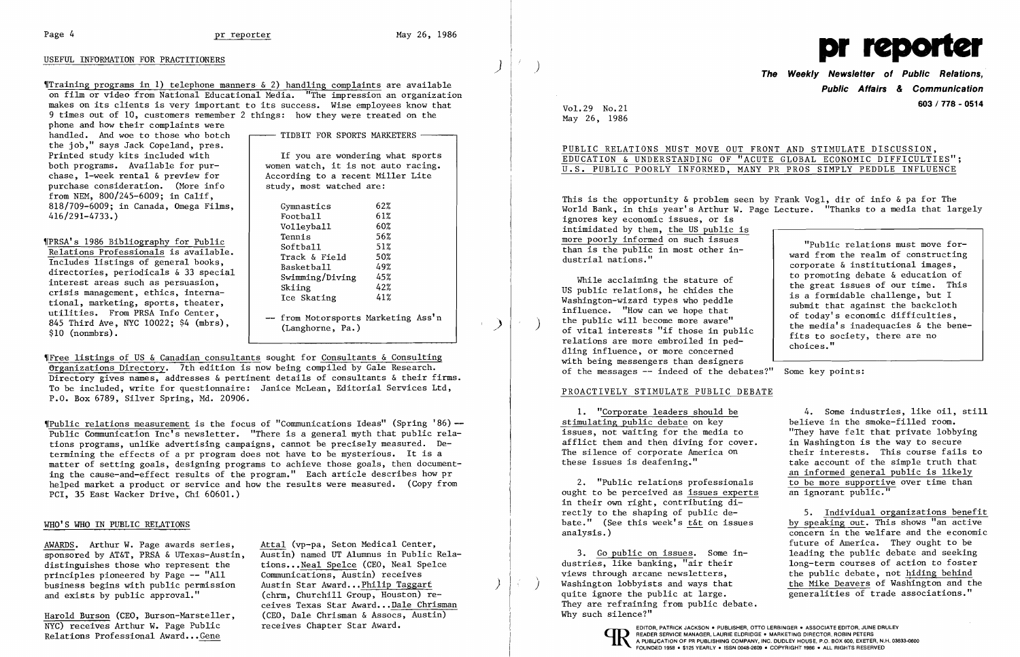

'fTraining programs in 1) telephone manners & 2) handling complaints are available on film or video from National Educational Media. "The impression an organization makes on its clients is very important to its success. Wise employees know that 9 times out of 10, customers remember 2 things: how they were treated on the

phone and how their complaints were handled. And woe to those who botch  $\longrightarrow$  TIDBIT FOR SPORTS MARKETERS  $\longrightarrow$ the job," says Jack Copeland, pres. Printed study kits included with both programs. Available for pur chase, I-week rental & preview for purchase consideration. (More info from NEM, 800/245-6009; in Calif, 818/709-6009; in Canada, Omega Films, 416/291-4733. )

WERSA's 1986 Bibliography for Public<br>
Relations Professionals is available.<br>
Includes listings of general books,<br>
directories, periodicals & 33 special<br>
interest areas such as persuasion,<br>
crisis management, ethics, intern tional, marketing, sports, theater,<br>utilities. From PRSA Info Center, diffrom Motorsports Marketing Ass'n 845 Third Ave, NYC 10022; \$4 (mbrs),  $\begin{array}{|l|}\n - & \text{from Motorsports Marketing Ass'n} \\
 \hline\n \text{S10 (nommbrs)}\n \end{array}$ 

 If you are wondering what sports women watch, it is not auto racing. According to a recent Miller Lite study, most watched are:

Gymnastics 62%<br>Football 61% 62% Football 61%<br>Volleyball 60% Volleyball

,rpublic relations measurement is the focus of "Communications Ideas" (Spring **'86)-** Public Communication Inc's newsletter. "There is a general myth that public relations programs, unlike advertising campaigns, cannot be precisely measured. Determining the effects of a pr program does not have to be mysterious. It is a matter of setting goals, designing programs to achieve those goals, then documenting the cause-and-effect results of the program." Each article describes how pr helped market a product or service and how the results were measured. (Copy from PCI, 35 East Wacker Drive, Chi 60601.)

AWARDS. Arthur W. Page awards series, Attal (vp-pa, Seton Medical Center, sponsored by AT&T, PRSA & UTexas-Austin, distinguishes those who represent the tions... Neal Spelce (CEO, Neal Spelce principles pioneered by Page -- "All Communications, Austin) receives principles pioneered by Page -- "All Communications, Austin) receives<br>business begins with public permission Austin Star Award...Philip Taggart business begins with public permission<br>and exists by public approval." and exists by public approval." (chrm, Churchill Group, Houston) re-

Harold Burson (CEO, Burson-Marsteller, (CEO, Dale Chrisman & Assocs<br>NYC) receives Arthur W. Page Public receives Chapter Star Award.

Austin) named UT Alumnus in Public Relaceives Texas Star Award... Dale Chrisman<br>
(CEO, Dale Chrisman & Assocs, Austin) Why such silence?" NYC) receives Arthur W. Page Public receives Chapter Star Award. EDITOR, PATRICK JACKSON PUBLISHER, OTTO LERBINGER • ASSOCIATE EDITOR, JUNE DRULEY

"Free listings of US & Canadian consultants sought for Consultants & Consulting erganizations Directory. 7th edition is now being compiled by Gale Research. Directory gives names, addresses & pertinent details of consultants & their firms. To be included, write for questionnaire: Janice McLean, Editorial Services Ltd, P.O. Box 6789, Silver Spring, Md. 20906.

While acclaiming the stature of<br>
US public relations, he chides the<br>
Washington-wizard types who peddle<br>
influence. "How can we hope that<br>
the public will become more aware"<br>
of vital interests "if those in public<br>
relatio with being messengers than designers of the messages -- indeed of the debates?" Some key points:

## WHO'S WHO IN PUBLIC RELATIONS

**Public Affairs & Communication 603 / 778 - <sup>0514</sup>** VoL 29 No.21

May 26, 1986

# PUBLIC RELATIONS MUST MOVE OUT FRONT AND STIMULATE DISCUSSION,

This is the opportunity  $\&$  problem seen by Frank Vog1, dir of info  $\&$  pa for The World Bank, in this year's Arthur W. Page Lecture. "Thanks to a media that largely ignores key economic issues, or is intimidated by them, the US public is<br>more poorly informed on such issues more poorly informed on such issues<br>than is the public in most other in-<br>dustrial nations."<br>to promoting debate & education of<br>the realm of constructing<br>corporate & institutional images,<br>to promoting debate & education of

EDUCATION & UNDERSTANDING OF "ACUTE GLOBAL ECONOMIC DIFFICULTIES"; U.S. PUBLIC POORLY INFORMED, MANY PR PROS SIMPLY PEDDLE INFLUENCE

1. "Corporate leaders should be 4. Some industries, like oil, still<br>imulating public debate on key believe in the smoke-filled room. The silence of corporate America on their interests. This course fails to<br>these issues is deafening." take account of the simple truth that take account of the simple truth that an informed general public is likely 2. "Public relations professionals  $\frac{1}{100}$  to be more supportive over time than ships to be perceived as issues experts an ignorant public."

by speaking out. This shows "an active analysis.) concern in the welfare and the economic future of America. They ought to be 3. <u>Go public on issues</u>. Some in-<br>stries. like banking. "air their long-term courses of action to foster views through arcane newsletters, the public debate, not <u>hiding behind</u><br> ) Washington lobbyists and ways that the Mike Deavers of Washington and the

## PROACTIVELY STIMULATE PUBLIC DEBATE

stimulating public debate on key issues, not waiting for the media to "They have felt that private lobbying<br>afflict them and then diving for cover. in Washington is the way to secure afflict them and then diving for cover.<br>The silence of corporate America on

ought to be perceived as issues experts in their own right, contributing directly to the shaping of public de-<br>bate." (See this week's t&t on issues by speaking out. This shows "an active

dustries, like banking, "air their long-term courses of action to foster<br>views through arcane newsletters, the public debate, not hiding behind Washington lobbyists and ways that <br>quite ignore the public at large. <br>generalities of trade associations."